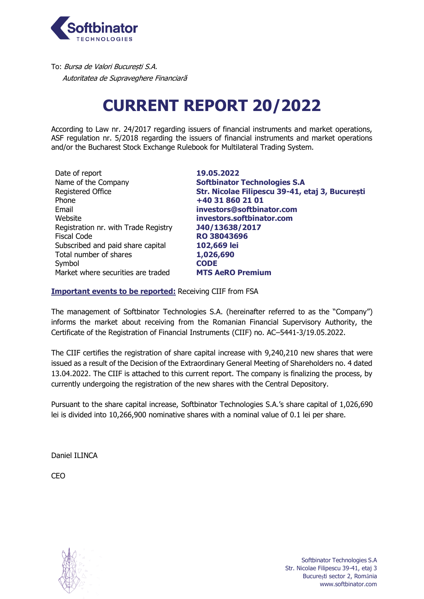

To: Bursa de Valori București S.A. Autoritatea de Supraveghere Financiară

## **CURRENT REPORT 20/2022**

According to Law nr. 24/2017 regarding issuers of financial instruments and market operations, ASF regulation nr. 5/2018 regarding the issuers of financial instruments and market operations and/or the Bucharest Stock Exchange Rulebook for Multilateral Trading System.

Date of report **19.05.2022** Name of the Company **Softbinator Technologies S.A** Phone **+40 31 860 21 01** Email **investors@softbinator.com** Website **investors.softbinator.com** Registration nr. with Trade Registry **J40/13638/2017** Fiscal Code **RO 38043696** Subscribed and paid share capital **102,669 lei** Total number of shares **1,026,690** Symbol **CODE** Market where securities are traded **MTS AeRO Premium**

Registered Office **Str. Nicolae Filipescu 39-41, etaj 3, București**

#### **Important events to be reported:** Receiving CIIF from FSA

The management of Softbinator Technologies S.A. (hereinafter referred to as the "Company") informs the market about receiving from the Romanian Financial Supervisory Authority, the Certificate of the Registration of Financial Instruments (CIIF) no. AC–5441-3/19.05.2022.

The CIIF certifies the registration of share capital increase with 9,240,210 new shares that were issued as a result of the Decision of the Extraordinary General Meeting of Shareholders no. 4 dated 13.04.2022. The CIIF is attached to this current report. The company is finalizing the process, by currently undergoing the registration of the new shares with the Central Depository.

Pursuant to the share capital increase, Softbinator Technologies S.A.'s share capital of 1,026,690 lei is divided into 10,266,900 nominative shares with a nominal value of 0.1 lei per share.

Daniel ILINCA

CEO

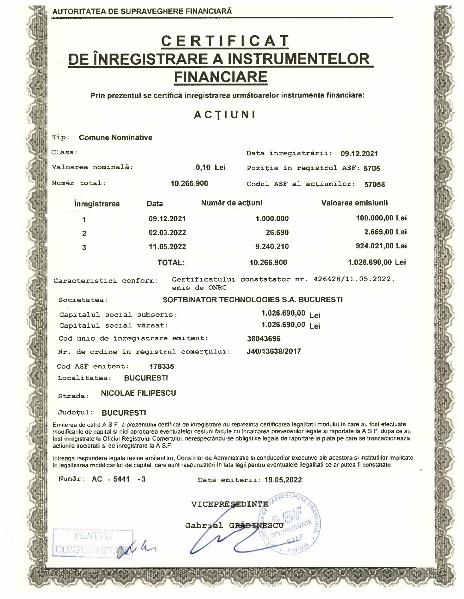# C E R T I F I C A T<br>DE ÎNREGISTRARE A INSTRUMENTELOR **FINANCIARE**

Prin prezentul se certifică înregistrarea următoarelor instrumente financiare:

### ACTIUNI

| <b>Comune Nominative</b><br>Tip:                                                                                                                                                                                                                                                                                                                                                                                                                                                          |                          |                  |                                                   |  |                    |
|-------------------------------------------------------------------------------------------------------------------------------------------------------------------------------------------------------------------------------------------------------------------------------------------------------------------------------------------------------------------------------------------------------------------------------------------------------------------------------------------|--------------------------|------------------|---------------------------------------------------|--|--------------------|
| Clasa:                                                                                                                                                                                                                                                                                                                                                                                                                                                                                    |                          |                  | Data inregistrārii: 09.12.2021                    |  |                    |
| Valoarea nominală:                                                                                                                                                                                                                                                                                                                                                                                                                                                                        |                          | 0,10 Lei         | Poziția în registrul ASF: 5705                    |  |                    |
| Număr total:                                                                                                                                                                                                                                                                                                                                                                                                                                                                              | 10.266.900               |                  | Codul ASF al actiunilor:                          |  | 57058              |
| <i>inregistrarea</i>                                                                                                                                                                                                                                                                                                                                                                                                                                                                      | <b>Data</b>              | Număr de acțiuni |                                                   |  | Valoarea emisiunii |
| 1                                                                                                                                                                                                                                                                                                                                                                                                                                                                                         | 09.12.2021               |                  | 1.000.000                                         |  | 100.000,00 Lei     |
| $\overline{2}$                                                                                                                                                                                                                                                                                                                                                                                                                                                                            | 02.03.2022               |                  | 26.690                                            |  | 2.669,00 Lei       |
| 3                                                                                                                                                                                                                                                                                                                                                                                                                                                                                         | 11.05.2022               |                  | 9.240.210                                         |  | 924.021,00 Lei     |
|                                                                                                                                                                                                                                                                                                                                                                                                                                                                                           | <b>TOTAL:</b>            |                  | 10.266.900                                        |  | 1.026.690,00 Lei   |
| Caracteristici conform:                                                                                                                                                                                                                                                                                                                                                                                                                                                                   |                          | emis de ONRC     | Certificatului constatator nr. 426428/11.05.2022, |  |                    |
| Societatea:                                                                                                                                                                                                                                                                                                                                                                                                                                                                               |                          |                  | SOFTBINATOR TECHNOLOGIES S.A. BUCURESTI           |  |                    |
| Capitalul social subscris:                                                                                                                                                                                                                                                                                                                                                                                                                                                                |                          |                  | 1.026.690,00<br>Lei                               |  |                    |
| Capitalul social värsat:                                                                                                                                                                                                                                                                                                                                                                                                                                                                  |                          |                  | 1.026.690,00 Lei                                  |  |                    |
| Cod unic de inregistrare emitent:                                                                                                                                                                                                                                                                                                                                                                                                                                                         |                          |                  | 38043696                                          |  |                    |
| Nr. de ordine in registrul comerțului:                                                                                                                                                                                                                                                                                                                                                                                                                                                    |                          |                  | J40/13638/2017                                    |  |                    |
| Cod ASF emitent:                                                                                                                                                                                                                                                                                                                                                                                                                                                                          | 178335                   |                  |                                                   |  |                    |
| Localitatea:                                                                                                                                                                                                                                                                                                                                                                                                                                                                              | <b>BUCURESTI</b>         |                  |                                                   |  |                    |
| Strada:                                                                                                                                                                                                                                                                                                                                                                                                                                                                                   | <b>NICOLAE FILIPESCU</b> |                  |                                                   |  |                    |
| Judetul:<br><b>BUCURESTI</b>                                                                                                                                                                                                                                                                                                                                                                                                                                                              |                          |                  |                                                   |  |                    |
| Emiterea de catre A.S.F. a prezentului certificat de inregistrare nu reprezinta certificarea legalitatii modului în care au fost efectuate<br>modificarile de capital si nici aprobarea eventualelor cesiuni facute cu încalcarea prevederilor legale si raportate la A.S.F. dupa ce al<br>fost înregistrate la Oficiul Registrului Comertului, nerespectându-se obligatiile legale de raportare la piata pe care se tranzactioneaza<br>actiunile societatii si de inregistrare la A.S.F. |                          |                  |                                                   |  |                    |

Intreaga raspundere legala revine emitentilor, Consiliilor de Administratie si conducerilor executive ale acestora si institutilor implicate în legalizarea modificarilor de capital, care sunt raspunzatori în fata legii pentru eventualele ilegalitati ce ar putea fi constatate.

| Număr: AC - 5441 - 3 | Data emiterii: 19.05.2022 |  |  |  |
|----------------------|---------------------------|--|--|--|
|                      | VICEPRESEDINTE            |  |  |  |
|                      |                           |  |  |  |
|                      | GRĂ<br>Gabriel            |  |  |  |
|                      |                           |  |  |  |